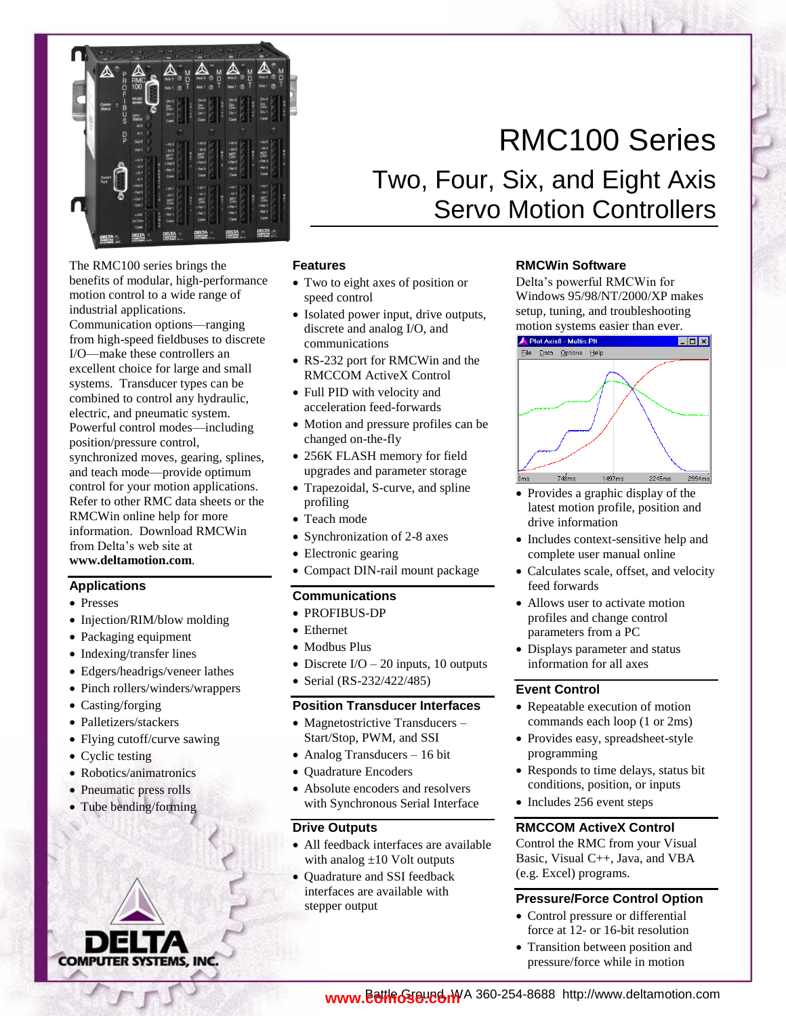

The RMC100 series brings the benefits of modular, high-performance motion control to a wide range of industrial applications.

Communication options—ranging from high-speed fieldbuses to discrete I/O—make these controllers an excellent choice for large and small systems. Transducer types can be combined to control any hydraulic, electric, and pneumatic system. Powerful control modes—including position/pressure control, synchronized moves, gearing, splines, and teach mode—provide optimum control for your motion applications. Refer to other RMC data sheets or the RMCWin online help for more information. Download RMCWin from Delta's web site at

**www.deltamotion.com**.

# **Applications**

- Presses
- Injection/RIM/blow molding
- Packaging equipment
- Indexing/transfer lines
- Edgers/headrigs/veneer lathes
- Pinch rollers/winders/wrappers
- Casting/forging
- Palletizers/stackers
- Flying cutoff/curve sawing
- Cyclic testing
- Robotics/animatronics
- Pneumatic press rolls
- Tube bending/forming



# Two, Four, Six, and Eight Axis Servo Motion Controllers

## **Features**

- Two to eight axes of position or speed control
- Isolated power input, drive outputs, discrete and analog I/O, and communications
- RS-232 port for RMCWin and the RMCCOM ActiveX Control
- Full PID with velocity and acceleration feed-forwards
- Motion and pressure profiles can be changed on-the-fly
- 256K FLASH memory for field upgrades and parameter storage
- Trapezoidal, S-curve, and spline profiling
- Teach mode
- Synchronization of 2-8 axes
- Electronic gearing
- Compact DIN-rail mount package

## **Communications**

- PROFIBUS-DP
- Ethernet
- Modbus Plus
- Discrete  $I/O 20$  inputs, 10 outputs
- Serial (RS-232/422/485)

# **Position Transducer Interfaces**

- Magnetostrictive Transducers -Start/Stop, PWM, and SSI
- Analog Transducers 16 bit
- Ouadrature Encoders
- Absolute encoders and resolvers with Synchronous Serial Interface

## **Drive Outputs**

- All feedback interfaces are available with analog  $\pm 10$  Volt outputs
- Quadrature and SSI feedback interfaces are available with stepper output

## **RMCWin Software**

Delta's powerful RMCWin for Windows 95/98/NT/2000/XP makes setup, tuning, and troubleshooting motion systems easier than ever.



- Provides a graphic display of the latest motion profile, position and drive information
- Includes context-sensitive help and complete user manual online
- Calculates scale, offset, and velocity feed forwards
- Allows user to activate motion profiles and change control parameters from a PC
- Displays parameter and status information for all axes

## **Event Control**

- Repeatable execution of motion commands each loop (1 or 2ms)
- Provides easy, spreadsheet-style programming
- Responds to time delays, status bit conditions, position, or inputs
- Includes 256 event steps

## **RMCCOM ActiveX Control**

Control the RMC from your Visual Basic, Visual C++, Java, and VBA (e.g. Excel) programs.

# **Pressure/Force Control Option**

- Control pressure or differential force at 12- or 16-bit resolution
- Transition between position and pressure/force while in motion

# RMC100 Series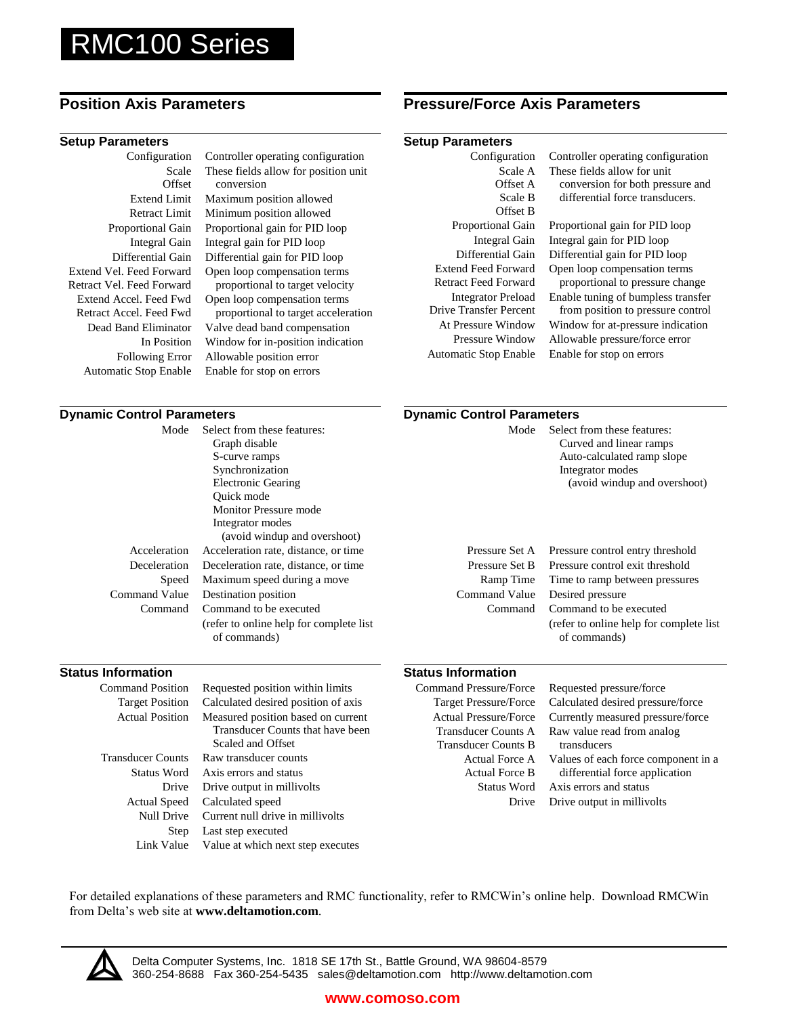# RMC100 Series

### **Setup Parameters Setup Parameters**

Configuration Scale **Offset** Extend Limit Retract Limit Proportional Gain Integral Gain Differential Gain Extend Vel. Feed Forward Retract Vel. Feed Forward Extend Accel. Feed Fwd Retract Accel. Feed Fwd Dead Band Eliminator In Position Following Error Automatic Stop Enable

Controller operating configuration These fields allow for position unit conversion Maximum position allowed Minimum position allowed Proportional gain for PID loop

Integral gain for PID loop Differential gain for PID loop Open loop compensation terms proportional to target velocity Open loop compensation terms proportional to target acceleration Valve dead band compensation Window for in-position indication Allowable position error Enable for stop on errors

# **Position Axis Parameters Pressure/Force Axis Parameters**

| Configuration                 | Controller operating configuration |
|-------------------------------|------------------------------------|
| Scale A                       | These fields allow for unit        |
| Offset A                      | conversion for both pressure and   |
| Scale B                       | differential force transducers.    |
| Offset B                      |                                    |
| <b>Proportional Gain</b>      | Proportional gain for PID loop     |
| Integral Gain                 | Integral gain for PID loop         |
| Differential Gain             | Differential gain for PID loop     |
| <b>Extend Feed Forward</b>    | Open loop compensation terms       |
| Retract Feed Forward          | proportional to pressure change    |
| <b>Integrator Preload</b>     | Enable tuning of bumpless transfer |
| <b>Drive Transfer Percent</b> | from position to pressure control  |
| At Pressure Window            | Window for at-pressure indication  |
| Pressure Window               | Allowable pressure/force error     |
| Automatic Stop Enable         | Enable for stop on errors          |
|                               |                                    |

### **Dynamic Control Parameters <b>Control Parameters Dynamic Control Parameters** Mode Acceleration Deceleration Speed Command Value Command Select from these features: Graph disable S-curve ramps Synchronization Electronic Gearing Quick mode Monitor Pressure mode Integrator modes (avoid windup and overshoot) Acceleration rate, distance, or time Deceleration rate, distance, or time Maximum speed during a move Destination position Command to be executed (refer to online help for complete list of commands) Mode Pressure Set A Pressure Set B Ramp Time Command Value Command Select from these features: Curved and linear ramps Auto-calculated ramp slope Integrator modes (avoid windup and overshoot) Pressure control entry threshold Pressure control exit threshold Time to ramp between pressures Desired pressure Command to be executed (refer to online help for complete list of commands) **Status Information Status Information** Command Position Target Position Actual Position Requested position within limits Calculated desired position of axis Measured position based on current Transducer Counts that have been Command Pressure/Force Target Pressure/Force Actual Pressure/Force Transducer Counts A Transducer Counts B Requested pressure/force Calculated desired pressure/force Currently measured pressure/force Raw value read from analog

Transducer Counts Status Word Drive Actual Speed Null Drive Step

Scaled and Offset Raw transducer counts Axis errors and status Drive output in millivolts Calculated speed Current null drive in millivolts Last step executed

### Link Value Value at which next step executes

### Actual Force A Actual Force B Status Word Drive transducers Values of each force component in a differential force application Axis errors and status Drive output in millivolts

For detailed explanations of these parameters and RMC functionality, refer to RMCWin's online help. Download RMCWin from Delta's web site at **www.deltamotion.com**.



Delta Computer Systems, Inc. 1818 SE 17th St., Battle Ground, WA 98604-8579 360-254-8688 Fax 360-254-5435 sales@deltamotion.com http://www.deltamotion.com

# **www.comoso.com**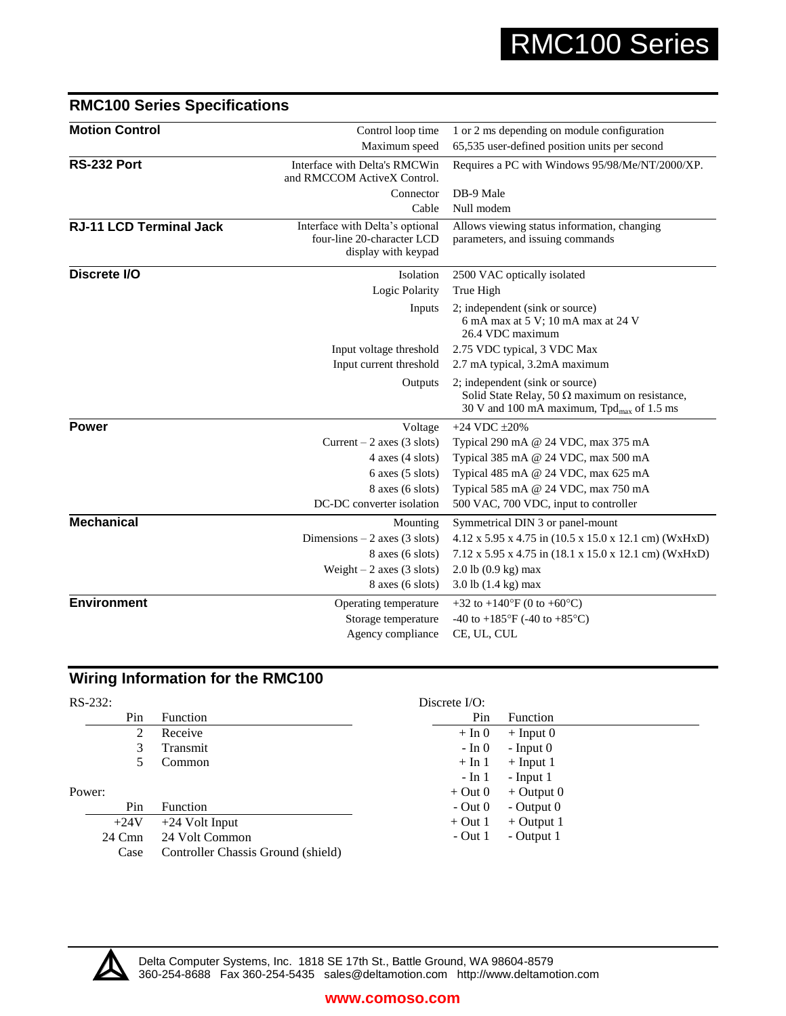| <b>Motion Control</b>          | Control loop time                                                                    | 1 or 2 ms depending on module configuration                                                                                             |
|--------------------------------|--------------------------------------------------------------------------------------|-----------------------------------------------------------------------------------------------------------------------------------------|
|                                | Maximum speed                                                                        | 65,535 user-defined position units per second                                                                                           |
| RS-232 Port                    | Interface with Delta's RMCWin<br>and RMCCOM ActiveX Control.                         | Requires a PC with Windows 95/98/Me/NT/2000/XP.                                                                                         |
|                                | Connector                                                                            | DB-9 Male                                                                                                                               |
|                                | Cable                                                                                | Null modem                                                                                                                              |
| <b>RJ-11 LCD Terminal Jack</b> | Interface with Delta's optional<br>four-line 20-character LCD<br>display with keypad | Allows viewing status information, changing<br>parameters, and issuing commands                                                         |
| Discrete I/O                   | Isolation                                                                            | 2500 VAC optically isolated                                                                                                             |
|                                | Logic Polarity                                                                       | True High                                                                                                                               |
|                                | Inputs                                                                               | 2; independent (sink or source)<br>6 mA max at 5 V; 10 mA max at 24 V<br>26.4 VDC maximum                                               |
|                                | Input voltage threshold                                                              | 2.75 VDC typical, 3 VDC Max                                                                                                             |
|                                | Input current threshold                                                              | 2.7 mA typical, 3.2mA maximum                                                                                                           |
|                                | Outputs                                                                              | 2; independent (sink or source)<br>Solid State Relay, 50 $\Omega$ maximum on resistance,<br>30 V and 100 mA maximum, $Tpdmax$ of 1.5 ms |
| <b>Power</b>                   | Voltage                                                                              | $+24$ VDC $\pm 20\%$                                                                                                                    |
|                                | Current $-2$ axes (3 slots)                                                          | Typical 290 mA @ 24 VDC, max 375 mA                                                                                                     |
|                                | $4$ axes $(4$ slots)                                                                 | Typical 385 mA @ 24 VDC, max 500 mA                                                                                                     |
|                                | $6$ axes $(5$ slots)                                                                 | Typical 485 mA @ 24 VDC, max 625 mA                                                                                                     |
|                                | 8 axes (6 slots)                                                                     | Typical 585 mA @ 24 VDC, max 750 mA                                                                                                     |
|                                | DC-DC converter isolation                                                            | 500 VAC, 700 VDC, input to controller                                                                                                   |
| <b>Mechanical</b>              | Mounting                                                                             | Symmetrical DIN 3 or panel-mount                                                                                                        |
|                                | Dimensions $-2$ axes (3 slots)                                                       | $4.12 \times 5.95 \times 4.75$ in $(10.5 \times 15.0 \times 12.1$ cm) (WxHxD)                                                           |
|                                | 8 axes (6 slots)                                                                     | 7.12 x 5.95 x 4.75 in (18.1 x 15.0 x 12.1 cm) (WxHxD)                                                                                   |
|                                | Weight $-2$ axes (3 slots)                                                           | $2.0$ lb $(0.9 \text{ kg})$ max                                                                                                         |
|                                | $8$ axes $(6$ slots)                                                                 | $3.0$ lb $(1.4 \text{ kg})$ max                                                                                                         |
| <b>Environment</b>             | Operating temperature                                                                | +32 to +140 $\rm{°F}$ (0 to +60 $\rm{°C}$ )                                                                                             |
|                                | Storage temperature                                                                  | -40 to +185 $\mathrm{^{\circ}F}$ (-40 to +85 $\mathrm{^{\circ}C}$ )                                                                     |
|                                | Agency compliance                                                                    | CE, UL, CUL                                                                                                                             |
|                                |                                                                                      |                                                                                                                                         |

# **RMC100 Series Specifications**

# **Wiring Information for the RMC100**

| $RS-232:$ |        |                                    | Discrete $I/O$ : |                 |
|-----------|--------|------------------------------------|------------------|-----------------|
|           | Pin    | Function                           | Pin              | <b>Function</b> |
|           | 2      | Receive                            | $+ \ln 0$        | $+$ Input 0     |
|           | 3      | Transmit                           | - In 0           | $-$ Input $0$   |
|           |        | Common                             | $+ \ln 1$        | $+$ Input 1     |
|           |        |                                    | $-$ In 1         | $-$ Input 1     |
| Power:    |        |                                    | $+$ Out 0        | $+$ Output 0    |
|           | Pin    | <b>Function</b>                    | $-$ Out $0$      | - Output $0$    |
|           | $+24V$ | $+24$ Volt Input                   | $+$ Out 1        | $+$ Output 1    |
|           | 24 Cmn | 24 Volt Common                     | $-$ Out 1        | - Output 1      |
|           | Case   | Controller Chassis Ground (shield) |                  |                 |



Delta Computer Systems, Inc. 1818 SE 17th St., Battle Ground, WA 98604-8579 360-254-8688 Fax 360-254-5435 sales@deltamotion.com http://www.deltamotion.com